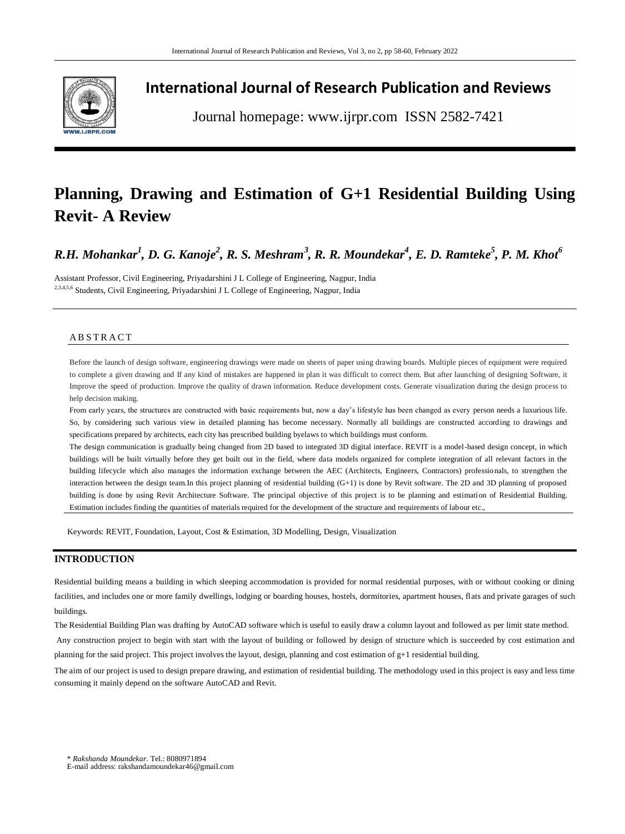

## **International Journal of Research Publication and Reviews**

Journal homepage: www.ijrpr.com ISSN 2582-7421

# **Planning, Drawing and Estimation of G+1 Residential Building Using Revit- A Review**

*R.H. Mohankar<sup>1</sup> , D. G. Kanoje<sup>2</sup> , R. S. Meshram<sup>3</sup> , R. R. Moundekar<sup>4</sup> , E. D. Ramteke<sup>5</sup> , P. M. Khot<sup>6</sup>*

Assistant Professor, Civil Engineering, Priyadarshini J L College of Engineering, Nagpur, India <sup>2,3,4,5,6</sup> Students, Civil Engineering, Priyadarshini J L College of Engineering, Nagpur, India

## A B S T R A C T

Before the launch of design software, engineering drawings were made on sheets of paper using drawing boards. Multiple pieces of equipment were required to complete a given drawing and If any kind of mistakes are happened in plan it was difficult to correct them. But after launching of designing Software, it Improve the speed of production. Improve the quality of drawn information. Reduce development costs. Generate visualization during the design process to help decision making.

From early years, the structures are constructed with basic requirements but, now a day's lifestyle has been changed as every person needs a luxurious life. So, by considering such various view in detailed planning has become necessary. Normally all buildings are constructed according to drawings and specifications prepared by architects, each city has prescribed building byelaws to which buildings must conform.

The design communication is gradually being changed from 2D based to integrated 3D digital interface. REVIT is a model-based design concept, in which buildings will be built virtually before they get built out in the field, where data models organized for complete integration of all relevant factors in the building lifecycle which also manages the information exchange between the AEC (Architects, Engineers, Contractors) professionals, to strengthen the interaction between the design team.In this project planning of residential building (G+1) is done by Revit software. The 2D and 3D planning of proposed building is done by using Revit Architecture Software. The principal objective of this project is to be planning and estimation of Residential Building. Estimation includes finding the quantities of materials required for the development of the structure and requirements of labour etc.,

Keywords: REVIT, Foundation, Layout, Cost & Estimation, 3D Modelling, Design, Visualization

## **INTRODUCTION**

Residential building means a building in which sleeping accommodation is provided for normal residential purposes, with or without cooking or dining facilities, and includes one or more family dwellings, lodging or boarding houses, hostels, dormitories, apartment houses, flats and private garages of such buildings.

The Residential Building Plan was drafting by AutoCAD software which is useful to easily draw a column layout and followed as per limit state method.

Any construction project to begin with start with the layout of building or followed by design of structure which is succeeded by cost estimation and planning for the said project. This project involves the layout, design, planning and cost estimation of g+1 residential building.

The aim of our project is used to design prepare drawing, and estimation of residential building. The methodology used in this project is easy and less time consuming it mainly depend on the software AutoCAD and Revit.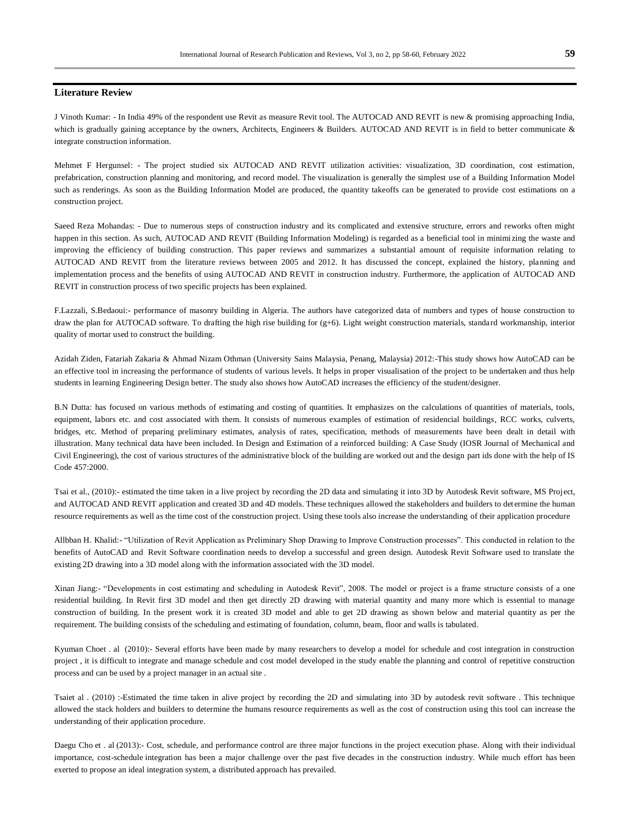### **Literature Review**

J Vinoth Kumar: - In India 49% of the respondent use Revit as measure Revit tool. The AUTOCAD AND REVIT is new & promising approaching India, which is gradually gaining acceptance by the owners, Architects, Engineers & Builders. AUTOCAD AND REVIT is in field to better communicate & integrate construction information.

Mehmet F Hergunsel: - The project studied six AUTOCAD AND REVIT utilization activities: visualization, 3D coordination, cost estimation, prefabrication, construction planning and monitoring, and record model. The visualization is generally the simplest use of a Building Information Model such as renderings. As soon as the Building Information Model are produced, the quantity takeoffs can be generated to provide cost estimations on a construction project.

Saeed Reza Mohandas: - Due to numerous steps of construction industry and its complicated and extensive structure, errors and reworks often might happen in this section. As such, AUTOCAD AND REVIT (Building Information Modeling) is regarded as a beneficial tool in minimi zing the waste and improving the efficiency of building construction. This paper reviews and summarizes a substantial amount of requisite information relating to AUTOCAD AND REVIT from the literature reviews between 2005 and 2012. It has discussed the concept, explained the history, planning and implementation process and the benefits of using AUTOCAD AND REVIT in construction industry. Furthermore, the application of AUTOCAD AND REVIT in construction process of two specific projects has been explained.

F.Lazzali, S.Bedaoui:- performance of masonry building in Algeria. The authors have categorized data of numbers and types of house construction to draw the plan for AUTOCAD software. To drafting the high rise building for (g+6). Light weight construction materials, standard workmanship, interior quality of mortar used to construct the building.

Azidah Ziden, Fatariah Zakaria & Ahmad Nizam Othman (University Sains Malaysia, Penang, Malaysia) 2012:-This study shows how AutoCAD can be an effective tool in increasing the performance of students of various levels. It helps in proper visualisation of the project to be undertaken and thus help students in learning Engineering Design better. The study also shows how AutoCAD increases the efficiency of the student/designer.

B.N Dutta: has focused on various methods of estimating and costing of quantities. It emphasizes on the calculations of quantities of materials, tools, equipment, labors etc. and cost associated with them. It consists of numerous examples of estimation of residencial buildings, RCC works, culverts, bridges, etc. Method of preparing preliminary estimates, analysis of rates, specification, methods of measurements have been dealt in detail with illustration. Many technical data have been included. In Design and Estimation of a reinforced building: A Case Study (IOSR Journal of Mechanical and Civil Engineering), the cost of various structures of the administrative block of the building are worked out and the design part ids done with the help of IS Code 457:2000.

Tsai et al., (2010):- estimated the time taken in a live project by recording the 2D data and simulating it into 3D by Autodesk Revit software, MS Project, and AUTOCAD AND REVIT application and created 3D and 4D models. These techniques allowed the stakeholders and builders to determine the human resource requirements as well as the time cost of the construction project. Using these tools also increase the understanding of their application procedure

Allbban H. Khalid:- "Utilization of Revit Application as Preliminary Shop Drawing to Improve Construction processes". This conducted in relation to the benefits of AutoCAD and Revit Software coordination needs to develop a successful and green design. Autodesk Revit Software used to translate the existing 2D drawing into a 3D model along with the information associated with the 3D model.

Xinan Jiang:- "Developments in cost estimating and scheduling in Autodesk Revit", 2008. The model or project is a frame structure consists of a one residential building. In Revit first 3D model and then get directly 2D drawing with material quantity and many more which is essential to manage construction of building. In the present work it is created 3D model and able to get 2D drawing as shown below and material quantity as per the requirement. The building consists of the scheduling and estimating of foundation, column, beam, floor and walls is tabulated.

Kyuman Choet . al (2010):- Several efforts have been made by many researchers to develop a model for schedule and cost integration in construction project , it is difficult to integrate and manage schedule and cost model developed in the study enable the planning and control of repetitive construction process and can be used by a project manager in an actual site .

Tsaiet al . (2010) :-Estimated the time taken in alive project by recording the 2D and simulating into 3D by autodesk revit software . This technique allowed the stack holders and builders to determine the humans resource requirements as well as the cost of construction using this tool can increase the understanding of their application procedure.

Daegu Cho et . al (2013):- Cost, schedule, and performance control are three major functions in the project execution phase. Along with their individual importance, cost-schedule integration has been a major challenge over the past five decades in the construction industry. While much effort has been exerted to propose an ideal integration system, a distributed approach has prevailed.